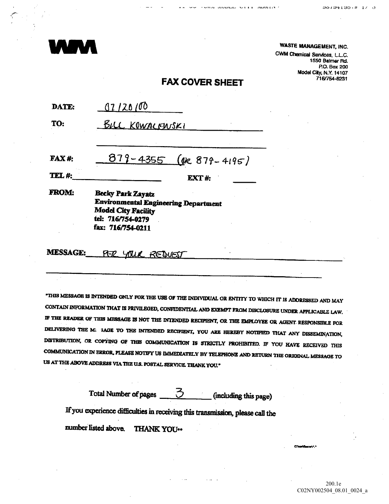

COMM HODGE OFFICE HOMESTY

**WASTE MANAGEMENT, INC.** 

CWM Chemical Services, L.L.C. 1550 Balmer Rd. P.O. Box 200 Model City, N.Y. 14107 716/754-8231

## **FAX COVER SHEET**

| DATE:              | 07/20/00                                                                                                                                        |  |
|--------------------|-------------------------------------------------------------------------------------------------------------------------------------------------|--|
| TO:                | <u>BILL KOWALFWSKI</u>                                                                                                                          |  |
| <b>FAX#:</b>       | $879 - 4355$ (ok 879-4195)                                                                                                                      |  |
| TEL <sub>#</sub> : | <b>EXT#:</b>                                                                                                                                    |  |
| <b>FROM:</b>       | <b>Becky Park Zayatz</b><br><b>Environmental Engineering Department</b><br><b>Model City Facility</b><br>tel: 716/754-0279<br>fax: 716/754-0211 |  |
|                    |                                                                                                                                                 |  |

**MESSAGE:** PER YOUR REQUEST

"THIS MESSAGE IS INTENDED ONLY FOR THE USE OF THE INDIVIDUAL OR ENTITY TO WHICH IT IS ADDRESSED AND MAY CONTAIN INFORMATION THAT IS PRIVILEGED, CONFIDENTIAL AND EXEMPT FROM DISCLOSURE UNDER APPLICABLE LAW. IF THE READER OF THIS MESSAGE IS NOT THE INTENDED RECIPIENT, OR THE EMPLOYEE OR AGENT RESPONSIBLE FOR DELIVERING THE M: 3AGE TO THE INTENDED RECIPIENT, YOU ARE HEREBY NOTIFIED THAT ANY DISSEMINATION, DISTRIBUTION, OR COPYING OF THIS COMMUNICATION IS STRICTLY PROHIBITED. IF YOU HAVE RECEIVED THIS COMMUNICATION IN ERROR, PLEASE NOTIFY US IMMEDIATELY BY TELEPHONE AND RETURN THE ORIGINAL MESSAGE TO US AT THE ABOVE ADDRESS VIA THE U.S. POSTAL SERVICE. THANK YOU."

3 Total Number of pages (including this page) If you experience difficulties in receiving this transmission, please call the number listed above. THANK YOU ..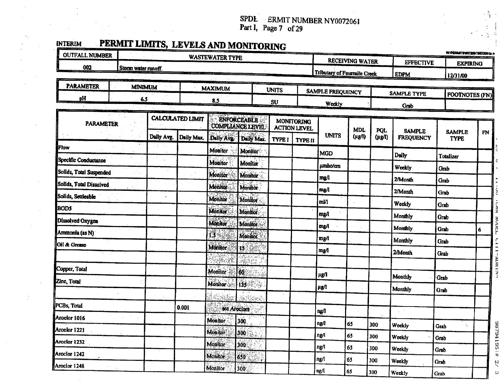SPDL ERMIT NUMBER NY0072061<br>Part I, Page 7 of 29

| ٠                     | ٠<br> |
|-----------------------|-------|
| ٠<br>×                | í.    |
| ľ<br>۳<br>г<br>т<br>٠ |       |

| PERMIT LIMITS, LEVELS AND MONITORING<br><b>OUTFALL NUMBER</b> |                        |                                                  |            |                                               |                         |                                          |                                   |                             |                        |                            |                       | W.VHERAATINGG7206110672061a.s |                 |  |
|---------------------------------------------------------------|------------------------|--------------------------------------------------|------------|-----------------------------------------------|-------------------------|------------------------------------------|-----------------------------------|-----------------------------|------------------------|----------------------------|-----------------------|-------------------------------|-----------------|--|
|                                                               | <b>WASTEWATER TYPE</b> |                                                  |            |                                               |                         |                                          |                                   |                             | <b>RECEIVING WATER</b> |                            | <b>EFFECTIVE</b>      |                               | <b>EXPIRING</b> |  |
| 002<br>Storm water runoff.                                    |                        |                                                  |            |                                               |                         |                                          |                                   | Tributary of Fourmile Creek |                        |                            | <b>EDPM</b>           | 12/31/00                      |                 |  |
| <b>PARAMETER</b>                                              |                        | <b>MINIMUM</b><br><b>MAXIMUM</b><br><b>UNITS</b> |            |                                               |                         |                                          |                                   |                             |                        |                            |                       |                               |                 |  |
| pH                                                            | 6.5                    |                                                  |            |                                               | $S$                     |                                          | <b>SAMPLE FREQUENCY</b><br>Weekly |                             |                        | <b>SAMPLE TYPE</b><br>Grab | <b>FOOTNOTES (FN)</b> |                               |                 |  |
| <b>PARAMETER</b>                                              |                        | <b>CALCULATED LIMIT</b>                          |            | <b>ENFORCEABLE</b><br><b>COMPLIANCE LEVEL</b> |                         | <b>MONITORING</b><br><b>ACTION LEVEL</b> |                                   |                             | MDL                    | <b>PQL</b>                 | <b>SAMPLE</b>         |                               |                 |  |
|                                                               |                        | Daily Avg.                                       | Daily Max. | Daily Avg                                     | Daily Max               | TYPE I                                   | <b>TYPE II</b>                    | <b>UNITS</b>                | $(\mu g/l)$            | $(\mu$ g/l $)$             | <b>FREQUENCY</b>      | SAMPLE<br><b>TYPE</b>         | m               |  |
| Flow                                                          |                        |                                                  |            | Monitor                                       | Monitor                 |                                          |                                   | <b>MGD</b>                  |                        |                            | Daily                 | <b>Totalizer</b>              |                 |  |
| Specific Conductance                                          |                        |                                                  |            | <b>Monitor</b>                                | Monitor                 |                                          |                                   | umho/cm                     |                        |                            | Weekly                | Grab                          |                 |  |
| Solids, Total Suspended                                       |                        |                                                  |            | <b>Monitor</b>                                | <b>Monitor</b>          |                                          |                                   | mg∕l                        |                        |                            | 2/Month               | Grab                          |                 |  |
| Solids, Total Dissolved<br>Solids, Settleable                 |                        |                                                  |            | Monitor                                       | <b>Monitor</b>          |                                          |                                   | mg/l                        |                        |                            | 2/Month               | Grab                          |                 |  |
| <b>BOD5</b>                                                   |                        |                                                  |            | Monitor                                       | Monitor                 |                                          |                                   | mV1                         |                        |                            | Weekly                | Grab                          |                 |  |
| Dissolved Oxygen                                              |                        |                                                  |            | <b>Monitor</b>                                | Montior                 |                                          |                                   | mg/l                        |                        |                            | Monthly               | Grab                          |                 |  |
| Ammonia (as N)                                                |                        |                                                  |            | Monitor                                       | <b>Monitor</b>          |                                          |                                   | mg/l                        |                        |                            | Monthly               | Grab                          | 6               |  |
| Oil & Grense                                                  |                        |                                                  |            | ĨŜ                                            | <b>Monitor</b>          |                                          |                                   | mg/l                        |                        |                            | Monthly               | Grab                          |                 |  |
|                                                               |                        |                                                  |            | <b>Monitor</b>                                | 13                      |                                          |                                   | mg/l                        |                        |                            | 2/Month               | Grab                          |                 |  |
| Copper, Total                                                 |                        |                                                  |            | Monitor                                       | 60                      |                                          |                                   |                             |                        |                            |                       |                               |                 |  |
| Zinc, Total                                                   |                        |                                                  |            |                                               |                         |                                          |                                   | μg/l                        |                        |                            | Monthly               | Grab                          |                 |  |
|                                                               |                        |                                                  |            | Monitor                                       | $\dddot{\mathbf{1}}$ 35 |                                          |                                   | $\mu$ g/l                   |                        |                            | Monthly               | Grab                          |                 |  |
| PCBs, Total                                                   |                        |                                                  | 0.001      |                                               |                         |                                          |                                   |                             |                        |                            |                       |                               |                 |  |
| Aroclor 1016                                                  |                        |                                                  |            | sco Aroclors                                  |                         |                                          |                                   | ng/l                        |                        |                            |                       |                               |                 |  |
| Aroclor 1221                                                  |                        |                                                  |            | Monitor<br><b>Monitor</b>                     | 300                     |                                          |                                   | ng/l                        | 65                     | 300                        | Weekly                | Grab                          |                 |  |
| Araclor 1232                                                  |                        |                                                  |            | <b>Monitor</b>                                | 300                     |                                          |                                   | ng/l                        | 65                     | 300                        | Weekly                | Grab                          |                 |  |
| Aroclor 1242                                                  |                        |                                                  |            | <b>Monitor</b>                                | 300                     |                                          |                                   | ng/l                        | 65                     | 300                        | Weekly                | Grab                          |                 |  |
| Aroclor 1248                                                  |                        |                                                  |            | <b>Monitor</b>                                | 650                     |                                          |                                   | ng/l                        | 65                     | 300                        | Weekly                | Grab                          |                 |  |
|                                                               |                        |                                                  |            |                                               | 300                     |                                          |                                   | ng/l                        | 65                     | 300                        | Weekly                | <b>Grab</b>                   |                 |  |